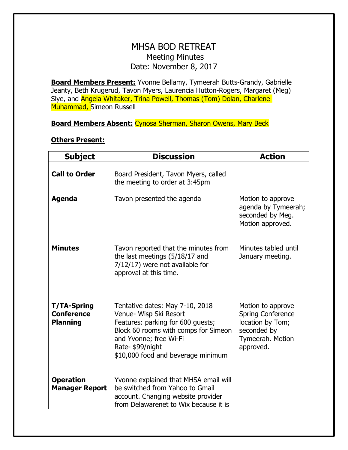## MHSA BOD RETREAT Meeting Minutes Date: November 8, 2017

**Board Members Present:** Yvonne Bellamy, Tymeerah Butts-Grandy, Gabrielle Jeanty, Beth Krugerud, Tavon Myers, Laurencia Hutton-Rogers, Margaret (Meg) Slye, and Angela Whitaker, Trina Powell, Thomas (Tom) Dolan, Charlene Muhammad, Simeon Russell

**Board Members Absent:** Cynosa Sherman, Sharon Owens, Mary Beck

| <b>Subject</b>                                             | <b>Discussion</b>                                                                                                                                                                                                         | <b>Action</b>                                                                                                     |
|------------------------------------------------------------|---------------------------------------------------------------------------------------------------------------------------------------------------------------------------------------------------------------------------|-------------------------------------------------------------------------------------------------------------------|
| <b>Call to Order</b>                                       | Board President, Tavon Myers, called<br>the meeting to order at 3:45pm                                                                                                                                                    |                                                                                                                   |
| <b>Agenda</b>                                              | Tavon presented the agenda                                                                                                                                                                                                | Motion to approve<br>agenda by Tymeerah;<br>seconded by Meg.<br>Motion approved.                                  |
| <b>Minutes</b>                                             | Tavon reported that the minutes from<br>the last meetings (5/18/17 and<br>7/12/17) were not available for<br>approval at this time.                                                                                       | Minutes tabled until<br>January meeting.                                                                          |
| <b>T/TA-Spring</b><br><b>Conference</b><br><b>Planning</b> | Tentative dates: May 7-10, 2018<br>Venue- Wisp Ski Resort<br>Features: parking for 600 guests;<br>Block 60 rooms with comps for Simeon<br>and Yvonne; free Wi-Fi<br>Rate-\$99/night<br>\$10,000 food and beverage minimum | Motion to approve<br><b>Spring Conference</b><br>location by Tom;<br>seconded by<br>Tymeerah. Motion<br>approved. |
| <b>Operation</b><br><b>Manager Report</b>                  | Yvonne explained that MHSA email will<br>be switched from Yahoo to Gmail<br>account. Changing website provider<br>from Delawarenet to Wix because it is                                                                   |                                                                                                                   |

## **Others Present:**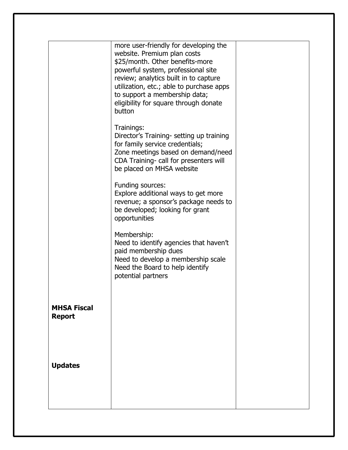|                                     | more user-friendly for developing the<br>website. Premium plan costs<br>\$25/month. Other benefits-more<br>powerful system, professional site<br>review; analytics built in to capture<br>utilization, etc.; able to purchase apps<br>to support a membership data;<br>eligibility for square through donate<br>button<br>Trainings:<br>Director's Training- setting up training<br>for family service credentials;<br>Zone meetings based on demand/need<br>CDA Training- call for presenters will<br>be placed on MHSA website<br>Funding sources:<br>Explore additional ways to get more<br>revenue; a sponsor's package needs to<br>be developed; looking for grant<br>opportunities<br>Membership:<br>Need to identify agencies that haven't<br>paid membership dues<br>Need to develop a membership scale<br>Need the Board to help identify<br>potential partners |  |
|-------------------------------------|--------------------------------------------------------------------------------------------------------------------------------------------------------------------------------------------------------------------------------------------------------------------------------------------------------------------------------------------------------------------------------------------------------------------------------------------------------------------------------------------------------------------------------------------------------------------------------------------------------------------------------------------------------------------------------------------------------------------------------------------------------------------------------------------------------------------------------------------------------------------------|--|
| <b>MHSA Fiscal</b><br><b>Report</b> |                                                                                                                                                                                                                                                                                                                                                                                                                                                                                                                                                                                                                                                                                                                                                                                                                                                                          |  |
| <b>Updates</b>                      |                                                                                                                                                                                                                                                                                                                                                                                                                                                                                                                                                                                                                                                                                                                                                                                                                                                                          |  |